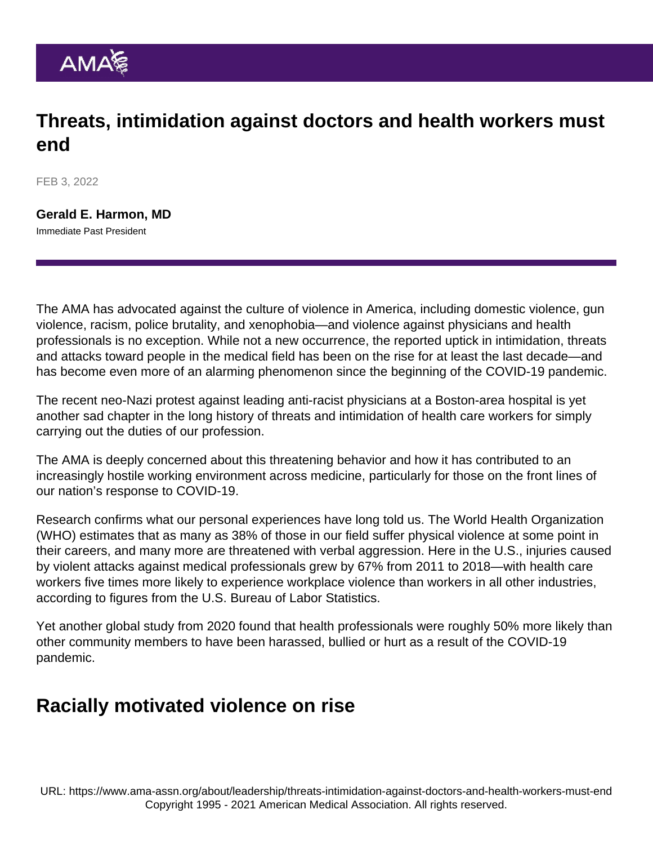## Threats, intimidation against doctors and health workers must end

FEB 3, 2022

[Gerald E. Harmon, MD](https://www.ama-assn.org/about/board-trustees/gerald-e-harmon-md) Immediate Past President

The AMA has [advocated against the culture of violence](https://www.ama-assn.org/delivering-care/public-health/preventing-violence) in America, including domestic violence, gun violence, racism, police brutality, and xenophobia—and violence against physicians and health professionals is no exception. While not a new occurrence, the reported uptick in intimidation, threats and attacks toward people in the medical field has been on the [rise](https://jamanetwork.com/journals/jama/fullarticle/2779310) for at least the last decade—and has become even more of an alarming phenomenon since the beginning of the COVID-19 pandemic.

The recent [neo-Nazi protest](https://www.wgbh.org/news/local-news/2022/02/02/neo-nazis-target-anti-racist-doctors-at-brigham-and-womens-hospital-calling-them-anti-white) against leading anti-racist physicians at a Boston-area hospital is yet another sad chapter in the long history of threats and intimidation of health care workers for simply carrying out the duties of our profession.

The AMA is deeply concerned about this threatening behavior and how it has contributed to an increasingly hostile working environment across medicine, particularly for those on the front lines of our nation's response to COVID-19.

Research confirms what our personal experiences have long told us. The World Health Organization (WHO) [estimates](https://www.who.int/activities/preventing-violence-against-health-workers) that as many as 38% of those in our field suffer physical violence at some point in their careers, and many more are threatened with verbal aggression. Here in the U.S., injuries caused by violent attacks against medical professionals grew by 67% from 2011 to 2018—with health care workers five times more likely to experience workplace violence than workers in all other industries, according to [figures](https://www.bls.gov/iif/oshwc/cfoi/workplace-violence-healthcare-2018.htm) from the U.S. Bureau of Labor Statistics.

Yet another global [study](https://www.ncbi.nlm.nih.gov/pmc/articles/PMC7780430/pdf/bmjopen-2020-046620.pdf) from 2020 found that health professionals were roughly 50% more likely than other community members to have been harassed, bullied or hurt as a result of the COVID-19 pandemic.

## Racially motivated violence on rise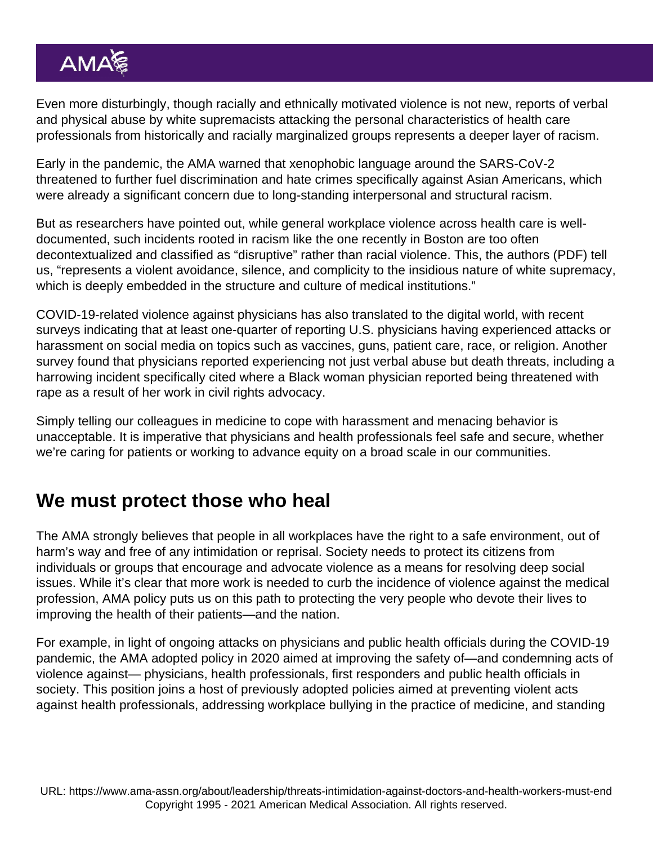Even more disturbingly, though racially and ethnically motivated violence is not [new,](https://www.dhs.gov/sites/default/files/publications/2020_10_06_homeland-threat-assessment.pdf) reports of verbal and physical abuse by white supremacists attacking the personal characteristics of health care professionals from historically and racially marginalized groups represents a deeper layer of racism.

Early in the pandemic, [the AMA warned](https://www.ama-assn.org/press-center/press-releases/ama-warns-against-racism-xenophobia-amid-covid-19) that xenophobic language around the SARS-CoV-2 threatened to further fuel discrimination and hate crimes specifically against Asian Americans, which were already a significant concern due to long-standing interpersonal and structural racism.

But as researchers have pointed out, while general workplace violence across health care is welldocumented, such incidents rooted in racism like the one recently in Boston are too often decontextualized and classified as "disruptive" rather than racial violence. This, the [authors](https://www.aadprt.org/application/files/8415/9243/1130/Confronting_Racial_Violence__Resident_Unit_and.14.pdf) (PDF) tell us, "represents a violent avoidance, silence, and complicity to the insidious nature of white supremacy, which is deeply embedded in the structure and culture of medical institutions."

COVID-19-related violence against physicians has also translated to the digital world, with recent [surveys](https://northwestern.app.box.com/s/15a3yvnjyb8bkv1j4jcmr20lcbrcqapw) indicating that at least one-quarter of reporting U.S. physicians having experienced attacks or harassment on social media on topics such as vaccines, guns, patient care, race, or religion. Another [survey](https://jamanetwork.com/journals/jamainternalmedicine/article-abstract/2774727) found that physicians reported experiencing not just verbal abuse but death threats, including a harrowing incident specifically cited where a Black woman physician reported being threatened with rape as a result of her work in civil rights advocacy.

Simply telling our colleagues in medicine to cope with harassment and menacing behavior is unacceptable. It is imperative that physicians and health professionals feel safe and secure, whether we're caring for patients or working to advance equity on a broad scale in our communities.

## We must protect those who heal

The AMA strongly believes that people in all workplaces have the right to a safe environment, out of harm's way and free of any intimidation or reprisal. Society needs to protect its citizens from individuals or groups that encourage and advocate violence as a means for resolving deep social issues. While it's clear that more work is needed to curb the incidence of violence against the medical profession, AMA policy puts us on this path to protecting the very people who devote their lives to improving the health of their patients—and the nation.

For example, in light of ongoing attacks on physicians and public health officials during the COVID-19 pandemic, the [AMA adopted policy in 2020 aimed](https://policysearch.ama-assn.org/policyfinder/detail/harassment?uri=/AMADoc/HOD.xml-H-515.950.xml) at improving the safety of—and condemning acts of violence against— physicians, health professionals, first responders and public health officials in society. This position joins a host of previously adopted policies aimed at [preventing violent acts](https://policysearch.ama-assn.org/policyfinder/detail/workplace violence?uri=/AMADoc/directives.xml-0-1753.xml) [against health professionals,](https://policysearch.ama-assn.org/policyfinder/detail/workplace violence?uri=/AMADoc/directives.xml-0-1753.xml) [addressing workplace bullying in the practice of medicine](https://policysearch.ama-assn.org/policyfinder/detail/workplace violence?uri=/AMADoc/HOD.xml-H-515.951.xml), and [standing](https://policysearch.ama-assn.org/policyfinder/detail/harassment?uri=/AMADoc/HOD.xml-0-4658.xml)